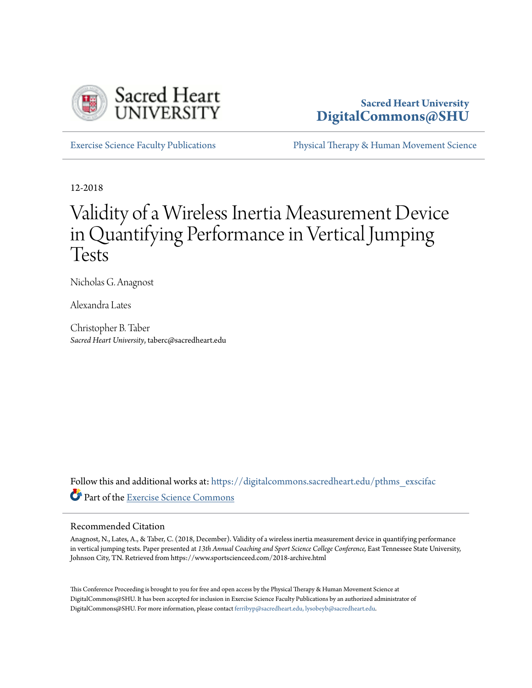

## **Sacred Heart University [DigitalCommons@SHU](https://digitalcommons.sacredheart.edu?utm_source=digitalcommons.sacredheart.edu%2Fpthms_exscifac%2F27&utm_medium=PDF&utm_campaign=PDFCoverPages)**

[Exercise Science Faculty Publications](https://digitalcommons.sacredheart.edu/pthms_exscifac?utm_source=digitalcommons.sacredheart.edu%2Fpthms_exscifac%2F27&utm_medium=PDF&utm_campaign=PDFCoverPages) [Physical Therapy & Human Movement Science](https://digitalcommons.sacredheart.edu/pthms?utm_source=digitalcommons.sacredheart.edu%2Fpthms_exscifac%2F27&utm_medium=PDF&utm_campaign=PDFCoverPages)

12-2018

# Validity of a Wireless Inertia Measurement Device in Quantifying Performance in Vertical Jumping Tests

Nicholas G. Anagnost

Alexandra Lates

Christopher B. Taber *Sacred Heart University*, taberc@sacredheart.edu

Follow this and additional works at: [https://digitalcommons.sacredheart.edu/pthms\\_exscifac](https://digitalcommons.sacredheart.edu/pthms_exscifac?utm_source=digitalcommons.sacredheart.edu%2Fpthms_exscifac%2F27&utm_medium=PDF&utm_campaign=PDFCoverPages) Part of the [Exercise Science Commons](http://network.bepress.com/hgg/discipline/1091?utm_source=digitalcommons.sacredheart.edu%2Fpthms_exscifac%2F27&utm_medium=PDF&utm_campaign=PDFCoverPages)

#### Recommended Citation

Anagnost, N., Lates, A., & Taber, C. (2018, December). Validity of a wireless inertia measurement device in quantifying performance in vertical jumping tests. Paper presented at *13th Annual Coaching and Sport Science College Conference,* East Tennessee State University, Johnson City, TN. Retrieved from https://www.sportscienceed.com/2018-archive.html

This Conference Proceeding is brought to you for free and open access by the Physical Therapy & Human Movement Science at DigitalCommons@SHU. It has been accepted for inclusion in Exercise Science Faculty Publications by an authorized administrator of DigitalCommons@SHU. For more information, please contact [ferribyp@sacredheart.edu, lysobeyb@sacredheart.edu.](mailto:ferribyp@sacredheart.edu,%20lysobeyb@sacredheart.edu)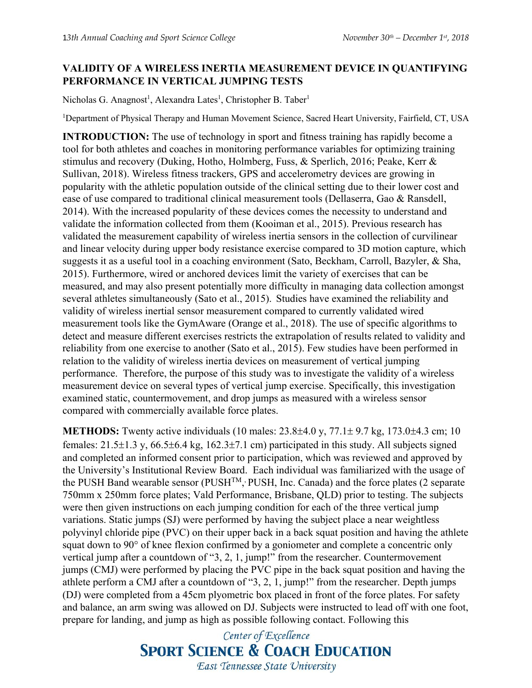### **VALIDITY OF A WIRELESS INERTIA MEASUREMENT DEVICE IN QUANTIFYING PERFORMANCE IN VERTICAL JUMPING TESTS**

Nicholas G. Anagnost<sup>1</sup>, Alexandra Lates<sup>1</sup>, Christopher B. Taber<sup>1</sup>

<sup>1</sup>Department of Physical Therapy and Human Movement Science, Sacred Heart University, Fairfield, CT, USA

**INTRODUCTION:** The use of technology in sport and fitness training has rapidly become a tool for both athletes and coaches in monitoring performance variables for optimizing training stimulus and recovery (Duking, Hotho, Holmberg, Fuss, & Sperlich, 2016; Peake, Kerr & Sullivan, 2018). Wireless fitness trackers, GPS and accelerometry devices are growing in popularity with the athletic population outside of the clinical setting due to their lower cost and ease of use compared to traditional clinical measurement tools (Dellaserra, Gao & Ransdell, 2014). With the increased popularity of these devices comes the necessity to understand and validate the information collected from them (Kooiman et al., 2015). Previous research has validated the measurement capability of wireless inertia sensors in the collection of curvilinear and linear velocity during upper body resistance exercise compared to 3D motion capture, which suggests it as a useful tool in a coaching environment (Sato, Beckham, Carroll, Bazyler, & Sha, 2015). Furthermore, wired or anchored devices limit the variety of exercises that can be measured, and may also present potentially more difficulty in managing data collection amongst several athletes simultaneously (Sato et al., 2015). Studies have examined the reliability and validity of wireless inertial sensor measurement compared to currently validated wired measurement tools like the GymAware (Orange et al., 2018). The use of specific algorithms to detect and measure different exercises restricts the extrapolation of results related to validity and reliability from one exercise to another (Sato et al., 2015). Few studies have been performed in relation to the validity of wireless inertia devices on measurement of vertical jumping performance. Therefore, the purpose of this study was to investigate the validity of a wireless measurement device on several types of vertical jump exercise. Specifically, this investigation examined static, countermovement, and drop jumps as measured with a wireless sensor compared with commercially available force plates.

**METHODS:** Twenty active individuals (10 males: 23.8±4.0 y, 77.1± 9.7 kg, 173.0±4.3 cm; 10 females: 21.5±1.3 y, 66.5±6.4 kg, 162.3±7.1 cm) participated in this study. All subjects signed and completed an informed consent prior to participation, which was reviewed and approved by the University's Institutional Review Board. Each individual was familiarized with the usage of the PUSH Band wearable sensor (PUSH<sup>TM</sup>, PUSH, Inc. Canada) and the force plates (2 separate 750mm x 250mm force plates; Vald Performance, Brisbane, QLD) prior to testing. The subjects were then given instructions on each jumping condition for each of the three vertical jump variations. Static jumps (SJ) were performed by having the subject place a near weightless polyvinyl chloride pipe (PVC) on their upper back in a back squat position and having the athlete squat down to 90° of knee flexion confirmed by a goniometer and complete a concentric only vertical jump after a countdown of "3, 2, 1, jump!" from the researcher. Countermovement jumps (CMJ) were performed by placing the PVC pipe in the back squat position and having the athlete perform a CMJ after a countdown of "3, 2, 1, jump!" from the researcher. Depth jumps (DJ) were completed from a 45cm plyometric box placed in front of the force plates. For safety and balance, an arm swing was allowed on DJ. Subjects were instructed to lead off with one foot, prepare for landing, and jump as high as possible following contact. Following this

> Center of Excellence **SPORT SCIENCE & COACH EDUCATION** East Tennessee State University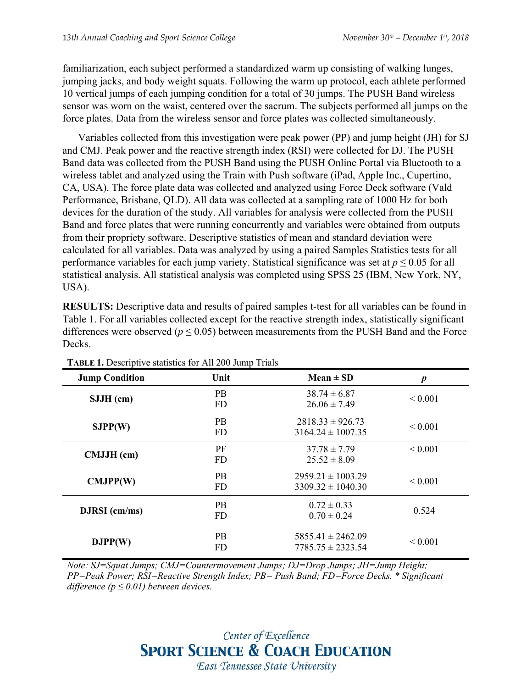familiarization, each subject performed a standardized warm up consisting of walking lunges, jumping jacks, and body weight squats. Following the warm up protocol, each athlete performed 10 vertical jumps of each jumping condition for a total of 30 jumps. The PUSH Band wireless sensor was worn on the waist, centered over the sacrum. The subjects performed all jumps on the force plates. Data from the wireless sensor and force plates was collected simultaneously.

Variables collected from this investigation were peak power (PP) and jump height (JH) for SJ and CMJ. Peak power and the reactive strength index (RSI) were collected for DJ. The PUSH Band data was collected from the PUSH Band using the PUSH Online Portal via Bluetooth to a wireless tablet and analyzed using the Train with Push software (iPad, Apple Inc., Cupertino, CA, USA). The force plate data was collected and analyzed using Force Deck software (Vald Performance, Brisbane, QLD). All data was collected at a sampling rate of 1000 Hz for both devices for the duration of the study. All variables for analysis were collected from the PUSH Band and force plates that were running concurrently and variables were obtained from outputs from their propriety software. Descriptive statistics of mean and standard deviation were calculated for all variables. Data was analyzed by using a paired Samples Statistics tests for all performance variables for each jump variety. Statistical significance was set at  $p \leq 0.05$  for all statistical analysis. All statistical analysis was completed using SPSS 25 (IBM, New York, NY, USA).

**RESULTS:** Descriptive data and results of paired samples t-test for all variables can be found in Table 1. For all variables collected except for the reactive strength index, statistically significant differences were observed ( $p \le 0.05$ ) between measurements from the PUSH Band and the Force Decks.

| <b>Jump Condition</b> | Unit                   | $Mean \pm SD$                                  | $\boldsymbol{p}$ |
|-----------------------|------------------------|------------------------------------------------|------------------|
| $SJJH$ (cm)           | <b>PB</b><br><b>FD</b> | $38.74 \pm 6.87$<br>$26.06 \pm 7.49$           | ${}_{0.001}$     |
| SJPP(W)               | <b>PB</b><br><b>FD</b> | $2818.33 \pm 926.73$<br>$3164.24 \pm 1007.35$  | ${}_{0.001}$     |
| CMJJH (cm)            | PF<br><b>FD</b>        | $37.78 \pm 7.79$<br>$25.52 \pm 8.09$           | ${}< 0.001$      |
| CMJPP(W)              | <b>PB</b><br><b>FD</b> | $2959.21 \pm 1003.29$<br>$3309.32 \pm 1040.30$ | ${}_{0.001}$     |
| $DJRSI$ (cm/ms)       | <b>PB</b><br><b>FD</b> | $0.72 \pm 0.33$<br>$0.70 \pm 0.24$             | 0.524            |
| DJPP(W)               | <b>PB</b><br><b>FD</b> | $5855.41 \pm 2462.09$<br>$7785.75 \pm 2323.54$ | ${}< 0.001$      |

**TABLE 1.** Descriptive statistics for All 200 Jump Trials

*Note: SJ=Squat Jumps; CMJ=Countermovement Jumps; DJ=Drop Jumps; JH=Jump Height; PP=Peak Power; RSI=Reactive Strength Index; PB= Push Band; FD=Force Decks. \* Significant difference (p ≤ 0.01) between devices.*

# Center of Excellence **SPORT SCIENCE & COACH EDUCATION** East Tennessee State University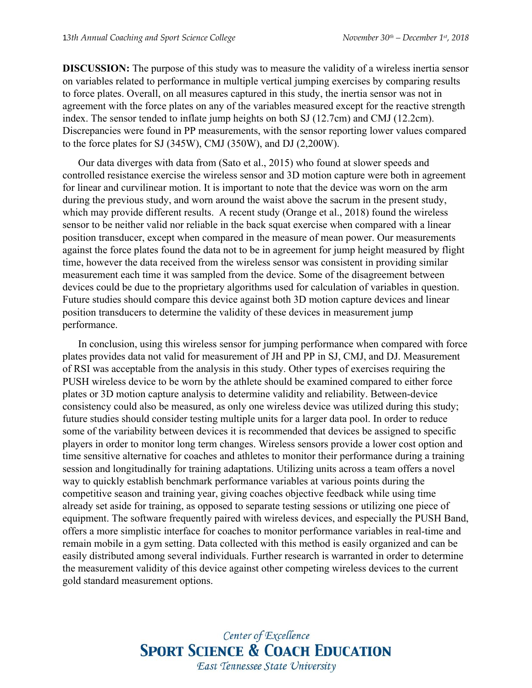**DISCUSSION:** The purpose of this study was to measure the validity of a wireless inertia sensor on variables related to performance in multiple vertical jumping exercises by comparing results to force plates. Overall, on all measures captured in this study, the inertia sensor was not in agreement with the force plates on any of the variables measured except for the reactive strength index. The sensor tended to inflate jump heights on both SJ (12.7cm) and CMJ (12.2cm). Discrepancies were found in PP measurements, with the sensor reporting lower values compared to the force plates for SJ (345W), CMJ (350W), and DJ (2,200W).

Our data diverges with data from (Sato et al., 2015) who found at slower speeds and controlled resistance exercise the wireless sensor and 3D motion capture were both in agreement for linear and curvilinear motion. It is important to note that the device was worn on the arm during the previous study, and worn around the waist above the sacrum in the present study, which may provide different results. A recent study (Orange et al., 2018) found the wireless sensor to be neither valid nor reliable in the back squat exercise when compared with a linear position transducer, except when compared in the measure of mean power. Our measurements against the force plates found the data not to be in agreement for jump height measured by flight time, however the data received from the wireless sensor was consistent in providing similar measurement each time it was sampled from the device. Some of the disagreement between devices could be due to the proprietary algorithms used for calculation of variables in question. Future studies should compare this device against both 3D motion capture devices and linear position transducers to determine the validity of these devices in measurement jump performance.

In conclusion, using this wireless sensor for jumping performance when compared with force plates provides data not valid for measurement of JH and PP in SJ, CMJ, and DJ. Measurement of RSI was acceptable from the analysis in this study. Other types of exercises requiring the PUSH wireless device to be worn by the athlete should be examined compared to either force plates or 3D motion capture analysis to determine validity and reliability. Between-device consistency could also be measured, as only one wireless device was utilized during this study; future studies should consider testing multiple units for a larger data pool. In order to reduce some of the variability between devices it is recommended that devices be assigned to specific players in order to monitor long term changes. Wireless sensors provide a lower cost option and time sensitive alternative for coaches and athletes to monitor their performance during a training session and longitudinally for training adaptations. Utilizing units across a team offers a novel way to quickly establish benchmark performance variables at various points during the competitive season and training year, giving coaches objective feedback while using time already set aside for training, as opposed to separate testing sessions or utilizing one piece of equipment. The software frequently paired with wireless devices, and especially the PUSH Band, offers a more simplistic interface for coaches to monitor performance variables in real-time and remain mobile in a gym setting. Data collected with this method is easily organized and can be easily distributed among several individuals. Further research is warranted in order to determine the measurement validity of this device against other competing wireless devices to the current gold standard measurement options.

> Center of Excellence **SPORT SCIENCE & COACH EDUCATION** East Tennessee State University